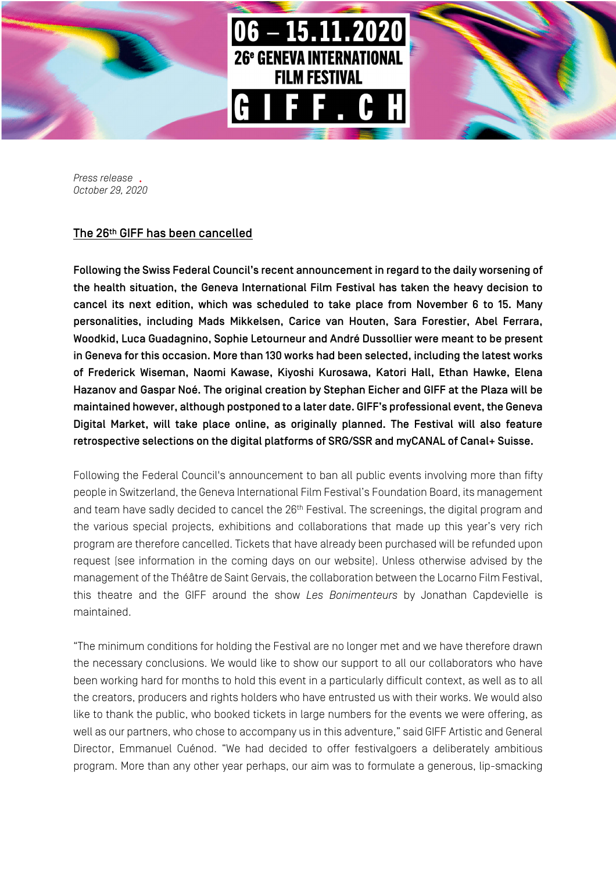

*Press release October 29, 2020*

## The 26th GIFF has been cancelled

Following the Swiss Federal Council's recent announcement in regard to the daily worsening of the health situation, the Geneva International Film Festival has taken the heavy decision to cancel its next edition, which was scheduled to take place from November 6 to 15. Many personalities, including Mads Mikkelsen, Carice van Houten, Sara Forestier, Abel Ferrara, Woodkid, Luca Guadagnino, Sophie Letourneur and André Dussollier were meant to be present in Geneva for this occasion. More than 130 works had been selected, including the latest works of Frederick Wiseman, Naomi Kawase, Kiyoshi Kurosawa, Katori Hall, Ethan Hawke, Elena Hazanov and Gaspar Noé. The original creation by Stephan Eicher and GIFF at the Plaza will be maintained however, although postponed to a later date. GIFF's professional event, the Geneva Digital Market, will take place online, as originally planned. The Festival will also feature retrospective selections on the digital platforms of SRG/SSR and myCANAL of Canal+ Suisse.

Following the Federal Council's announcement to ban all public events involving more than fifty people in Switzerland, the Geneva International Film Festival's Foundation Board, its management and team have sadly decided to cancel the 26<sup>th</sup> Festival. The screenings, the digital program and the various special projects, exhibitions and collaborations that made up this year's very rich program are therefore cancelled. Tickets that have already been purchased will be refunded upon request (see information in the coming days on our website). Unless otherwise advised by the management of the Théâtre de Saint Gervais, the collaboration between the Locarno Film Festival, this theatre and the GIFF around the show *Les Bonimenteurs* by Jonathan Capdevielle is maintained.

"The minimum conditions for holding the Festival are no longer met and we have therefore drawn the necessary conclusions. We would like to show our support to all our collaborators who have been working hard for months to hold this event in a particularly difficult context, as well as to all the creators, producers and rights holders who have entrusted us with their works. We would also like to thank the public, who booked tickets in large numbers for the events we were offering, as well as our partners, who chose to accompany us in this adventure," said GIFF Artistic and General Director, Emmanuel Cuénod. "We had decided to offer festivalgoers a deliberately ambitious program. More than any other year perhaps, our aim was to formulate a generous, lip-smacking